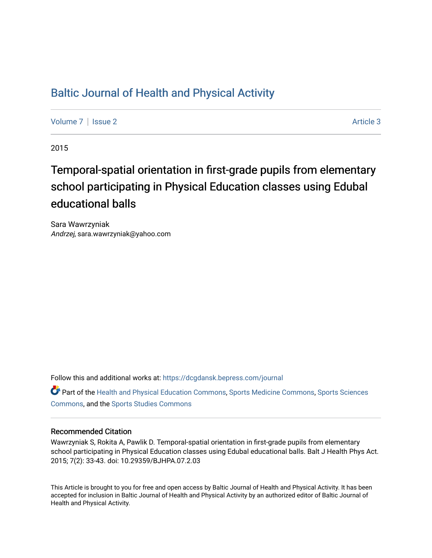## [Baltic Journal of Health and Physical Activity](https://dcgdansk.bepress.com/journal)

[Volume 7](https://dcgdansk.bepress.com/journal/vol7) | [Issue 2](https://dcgdansk.bepress.com/journal/vol7/iss2) Article 3

2015

# Temporal-spatial orientation in first-grade pupils from elementary school participating in Physical Education classes using Edubal educational balls

Sara Wawrzyniak Andrzej, sara.wawrzyniak@yahoo.com

Follow this and additional works at: [https://dcgdansk.bepress.com/journal](https://dcgdansk.bepress.com/journal?utm_source=dcgdansk.bepress.com%2Fjournal%2Fvol7%2Fiss2%2F3&utm_medium=PDF&utm_campaign=PDFCoverPages)

Part of the [Health and Physical Education Commons](http://network.bepress.com/hgg/discipline/1327?utm_source=dcgdansk.bepress.com%2Fjournal%2Fvol7%2Fiss2%2F3&utm_medium=PDF&utm_campaign=PDFCoverPages), [Sports Medicine Commons,](http://network.bepress.com/hgg/discipline/1331?utm_source=dcgdansk.bepress.com%2Fjournal%2Fvol7%2Fiss2%2F3&utm_medium=PDF&utm_campaign=PDFCoverPages) [Sports Sciences](http://network.bepress.com/hgg/discipline/759?utm_source=dcgdansk.bepress.com%2Fjournal%2Fvol7%2Fiss2%2F3&utm_medium=PDF&utm_campaign=PDFCoverPages) [Commons](http://network.bepress.com/hgg/discipline/759?utm_source=dcgdansk.bepress.com%2Fjournal%2Fvol7%2Fiss2%2F3&utm_medium=PDF&utm_campaign=PDFCoverPages), and the [Sports Studies Commons](http://network.bepress.com/hgg/discipline/1198?utm_source=dcgdansk.bepress.com%2Fjournal%2Fvol7%2Fiss2%2F3&utm_medium=PDF&utm_campaign=PDFCoverPages) 

#### Recommended Citation

Wawrzyniak S, Rokita A, Pawlik D. Temporal-spatial orientation in first-grade pupils from elementary school participating in Physical Education classes using Edubal educational balls. Balt J Health Phys Act. 2015; 7(2): 33-43. doi: 10.29359/BJHPA.07.2.03

This Article is brought to you for free and open access by Baltic Journal of Health and Physical Activity. It has been accepted for inclusion in Baltic Journal of Health and Physical Activity by an authorized editor of Baltic Journal of Health and Physical Activity.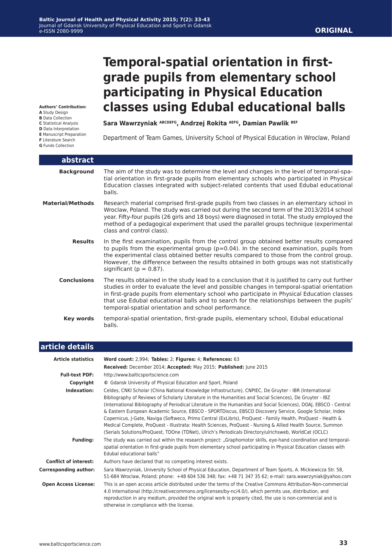# **Temporal-spatial orientation in firstgrade pupils from elementary school participating in Physical Education classes using Edubal educational balls**

**Authors' Contribution:**

- **A** Study Design
- **B** Data Collection
- **C** Statistical Analysis
- **D** Data Interpretation
- **E** Manuscript Preparation
- **F** Literature Search
- **G** Funds Collection

I

Sara Wawrzyniak ABCDEFG, Andrzej Rokita AEFG, Damian Pawlik BEF

Department of Team Games, University School of Physical Education in Wroclaw, Poland

| abstract                |                                                                                                                                                                                                                                                                                                                                                                                                                                                    |
|-------------------------|----------------------------------------------------------------------------------------------------------------------------------------------------------------------------------------------------------------------------------------------------------------------------------------------------------------------------------------------------------------------------------------------------------------------------------------------------|
| <b>Background</b>       | The aim of the study was to determine the level and changes in the level of temporal-spa-<br>tial orientation in first-grade pupils from elementary schools who participated in Physical<br>Education classes integrated with subject-related contents that used Edubal educational<br>balls.                                                                                                                                                      |
| <b>Material/Methods</b> | Research material comprised first-grade pupils from two classes in an elementary school in<br>Wroclaw, Poland. The study was carried out during the second term of the 2013/2014 school<br>year. Fifty-four pupils (26 girls and 18 boys) were diagnosed in total. The study employed the<br>method of a pedagogical experiment that used the parallel groups technique (experimental<br>class and control class).                                 |
| <b>Results</b>          | In the first examination, pupils from the control group obtained better results compared<br>to pupils from the experimental group ( $p=0.04$ ). In the second examination, pupils from<br>the experimental class obtained better results compared to those from the control group.<br>However, the difference between the results obtained in both groups was not statistically<br>significant ( $p = 0.87$ ).                                     |
| <b>Conclusions</b>      | The results obtained in the study lead to a conclusion that it is justified to carry out further<br>studies in order to evaluate the level and possible changes in temporal-spatial orientation<br>in first-grade pupils from elementary school who participate in Physical Education classes<br>that use Edubal educational balls and to search for the relationships between the pupils'<br>temporal-spatial orientation and school performance. |
| Key words               | temporal-spatial orientation, first-grade pupils, elementary school, Edubal educational<br>balls.                                                                                                                                                                                                                                                                                                                                                  |

| article details              |                                                                                                                                                                                                                                                                                                                                                                                                                                                                                                                                                                                                                                                                                                                                                                                                |  |  |  |  |
|------------------------------|------------------------------------------------------------------------------------------------------------------------------------------------------------------------------------------------------------------------------------------------------------------------------------------------------------------------------------------------------------------------------------------------------------------------------------------------------------------------------------------------------------------------------------------------------------------------------------------------------------------------------------------------------------------------------------------------------------------------------------------------------------------------------------------------|--|--|--|--|
| <b>Article statistics</b>    | Word count: 2,994; Tables: 2; Figures: 4; References: 63                                                                                                                                                                                                                                                                                                                                                                                                                                                                                                                                                                                                                                                                                                                                       |  |  |  |  |
|                              | Received: December 2014; Accepted: May 2015; Published: June 2015                                                                                                                                                                                                                                                                                                                                                                                                                                                                                                                                                                                                                                                                                                                              |  |  |  |  |
| <b>Full-text PDF:</b>        | http://www.balticsportscience.com                                                                                                                                                                                                                                                                                                                                                                                                                                                                                                                                                                                                                                                                                                                                                              |  |  |  |  |
| Copyright                    | © Gdansk University of Physical Education and Sport, Poland                                                                                                                                                                                                                                                                                                                                                                                                                                                                                                                                                                                                                                                                                                                                    |  |  |  |  |
| Indexation:                  | Celdes, CNKI Scholar (China National Knowledge Infrastructure), CNPIEC, De Gruyter - IBR (International<br>Bibliography of Reviews of Scholarly Literature in the Humanities and Social Sciences), De Gruyter - IBZ<br>(International Bibliography of Periodical Literature in the Humanities and Social Sciences), DOAJ, EBSCO - Central<br>& Eastern European Academic Source, EBSCO - SPORTDiscus, EBSCO Discovery Service, Google Scholar, Index<br>Copernicus, J-Gate, Naviga (Softweco, Primo Central (ExLibris), ProQuest - Family Health, ProQuest - Health &<br>Medical Complete, ProQuest - Illustrata: Health Sciences, ProQuest - Nursing & Allied Health Source, Summon<br>(Serials Solutions/ProQuest, TDOne (TDNet), Ulrich's Periodicals Directory/ulrichsweb, WorldCat (OCLC) |  |  |  |  |
| <b>Funding:</b>              | The study was carried out within the research project: "Graphomotor skills, eye-hand coordination and temporal-<br>spatial orientation in first-grade pupils from elementary school participating in Physical Education classes with<br>Edubal educational balls"                                                                                                                                                                                                                                                                                                                                                                                                                                                                                                                              |  |  |  |  |
| <b>Conflict of interest:</b> | Authors have declared that no competing interest exists.                                                                                                                                                                                                                                                                                                                                                                                                                                                                                                                                                                                                                                                                                                                                       |  |  |  |  |
| <b>Corresponding author:</b> | Sara Wawrzyniak, University School of Physical Education, Department of Team Sports, A. Mickiewicza Str. 58,<br>51-684 Wroclaw, Poland; phone: +48 604 536 348; fax: +48 71 347 35 62; e-mail: sara.wawrzyniak@yahoo.com                                                                                                                                                                                                                                                                                                                                                                                                                                                                                                                                                                       |  |  |  |  |
| <b>Open Access License:</b>  | This is an open access article distributed under the terms of the Creative Commons Attribution-Non-commercial<br>4.0 International (http://creativecommons.org/licenses/by-nc/4.0/), which permits use, distribution, and<br>reproduction in any medium, provided the original work is properly cited, the use is non-commercial and is<br>otherwise in compliance with the license.                                                                                                                                                                                                                                                                                                                                                                                                           |  |  |  |  |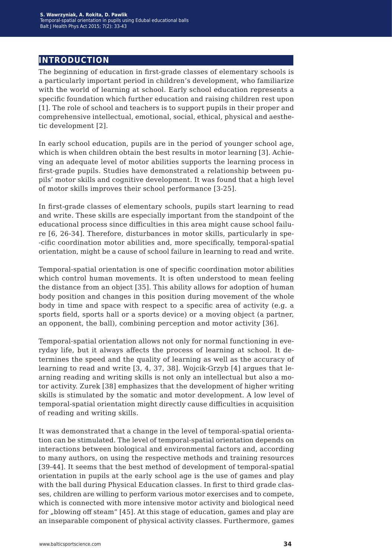### **introduction**

The beginning of education in first-grade classes of elementary schools is a particularly important period in children's development, who familiarize with the world of learning at school. Early school education represents a specific foundation which further education and raising children rest upon [1]. The role of school and teachers is to support pupils in their proper and comprehensive intellectual, emotional, social, ethical, physical and aesthetic development [2].

In early school education, pupils are in the period of younger school age, which is when children obtain the best results in motor learning [3]. Achieving an adequate level of motor abilities supports the learning process in first-grade pupils. Studies have demonstrated a relationship between pupils' motor skills and cognitive development. It was found that a high level of motor skills improves their school performance [3-25].

In first-grade classes of elementary schools, pupils start learning to read and write. These skills are especially important from the standpoint of the educational process since difficulties in this area might cause school failure [6, 26-34]. Therefore, disturbances in motor skills, particularly in spe- -cific coordination motor abilities and, more specifically, temporal-spatial orientation, might be a cause of school failure in learning to read and write.

Temporal-spatial orientation is one of specific coordination motor abilities which control human movements. It is often understood to mean feeling the distance from an object [35]. This ability allows for adoption of human body position and changes in this position during movement of the whole body in time and space with respect to a specific area of activity (e.g. a sports field, sports hall or a sports device) or a moving object (a partner, an opponent, the ball), combining perception and motor activity [36].

Temporal-spatial orientation allows not only for normal functioning in everyday life, but it always affects the process of learning at school. It determines the speed and the quality of learning as well as the accuracy of learning to read and write [3, 4, 37, 38]. Wojcik-Grzyb [4] argues that learning reading and writing skills is not only an intellectual but also a motor activity. Zurek [38] emphasizes that the development of higher writing skills is stimulated by the somatic and motor development. A low level of temporal-spatial orientation might directly cause difficulties in acquisition of reading and writing skills.

It was demonstrated that a change in the level of temporal-spatial orientation can be stimulated. The level of temporal-spatial orientation depends on interactions between biological and environmental factors and, according to many authors, on using the respective methods and training resources [39-44]. It seems that the best method of development of temporal-spatial orientation in pupils at the early school age is the use of games and play with the ball during Physical Education classes. In first to third grade classes, children are willing to perform various motor exercises and to compete, which is connected with more intensive motor activity and biological need for "blowing off steam" [45]. At this stage of education, games and play are an inseparable component of physical activity classes. Furthermore, games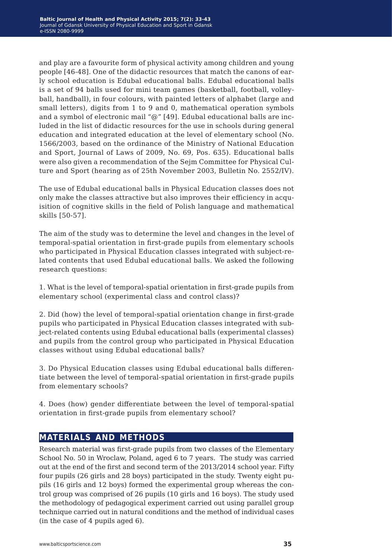and play are a favourite form of physical activity among children and young people [46-48]. One of the didactic resources that match the canons of early school education is Edubal educational balls. Edubal educational balls is a set of 94 balls used for mini team games (basketball, football, volleyball, handball), in four colours, with painted letters of alphabet (large and small letters), digits from 1 to 9 and 0, mathematical operation symbols and a symbol of electronic mail "@" [49]. Edubal educational balls are included in the list of didactic resources for the use in schools during general education and integrated education at the level of elementary school (No. 1566/2003, based on the ordinance of the Ministry of National Education and Sport, Journal of Laws of 2009, No. 69, Pos. 635). Educational balls were also given a recommendation of the Sejm Committee for Physical Culture and Sport (hearing as of 25th November 2003, Bulletin No. 2552/IV).

The use of Edubal educational balls in Physical Education classes does not only make the classes attractive but also improves their efficiency in acquisition of cognitive skills in the field of Polish language and mathematical skills [50-57].

The aim of the study was to determine the level and changes in the level of temporal-spatial orientation in first-grade pupils from elementary schools who participated in Physical Education classes integrated with subject-related contents that used Edubal educational balls. We asked the following research questions:

1. What is the level of temporal-spatial orientation in first-grade pupils from elementary school (experimental class and control class)?

2. Did (how) the level of temporal-spatial orientation change in first-grade pupils who participated in Physical Education classes integrated with subject-related contents using Edubal educational balls (experimental classes) and pupils from the control group who participated in Physical Education classes without using Edubal educational balls?

3. Do Physical Education classes using Edubal educational balls differentiate between the level of temporal-spatial orientation in first-grade pupils from elementary schools?

4. Does (how) gender differentiate between the level of temporal-spatial orientation in first-grade pupils from elementary school?

### **materials and methods**

Research material was first-grade pupils from two classes of the Elementary School No. 50 in Wroclaw, Poland, aged 6 to 7 years. The study was carried out at the end of the first and second term of the 2013/2014 school year. Fifty four pupils (26 girls and 28 boys) participated in the study. Twenty eight pupils (16 girls and 12 boys) formed the experimental group whereas the control group was comprised of 26 pupils (10 girls and 16 boys). The study used the methodology of pedagogical experiment carried out using parallel group technique carried out in natural conditions and the method of individual cases (in the case of 4 pupils aged 6).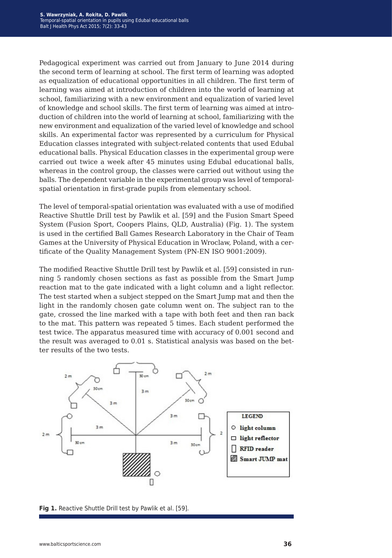Pedagogical experiment was carried out from January to June 2014 during the second term of learning at school. The first term of learning was adopted as equalization of educational opportunities in all children. The first term of learning was aimed at introduction of children into the world of learning at school, familiarizing with a new environment and equalization of varied level of knowledge and school skills. The first term of learning was aimed at introduction of children into the world of learning at school, familiarizing with the new environment and equalization of the varied level of knowledge and school skills. An experimental factor was represented by a curriculum for Physical Education classes integrated with subject-related contents that used Edubal educational balls. Physical Education classes in the experimental group were carried out twice a week after 45 minutes using Edubal educational balls, whereas in the control group, the classes were carried out without using the balls. The dependent variable in the experimental group was level of temporalspatial orientation in first-grade pupils from elementary school.

The level of temporal-spatial orientation was evaluated with a use of modified Reactive Shuttle Drill test by Pawlik et al. [59] and the Fusion Smart Speed System (Fusion Sport, Coopers Plains, QLD, Australia) (Fig. 1). The system is used in the certified Ball Games Research Laboratory in the Chair of Team Games at the University of Physical Education in Wroclaw, Poland, with a certificate of the Quality Management System (PN-EN ISO 9001:2009).

The modified Reactive Shuttle Drill test by Pawlik et al. [59] consisted in running 5 randomly chosen sections as fast as possible from the Smart Jump reaction mat to the gate indicated with a light column and a light reflector. The test started when a subject stepped on the Smart Jump mat and then the light in the randomly chosen gate column went on. The subject ran to the gate, crossed the line marked with a tape with both feet and then ran back to the mat. This pattern was repeated 5 times. Each student performed the test twice. The apparatus measured time with accuracy of 0.001 second and the result was averaged to 0.01 s. Statistical analysis was based on the better results of the two tests.



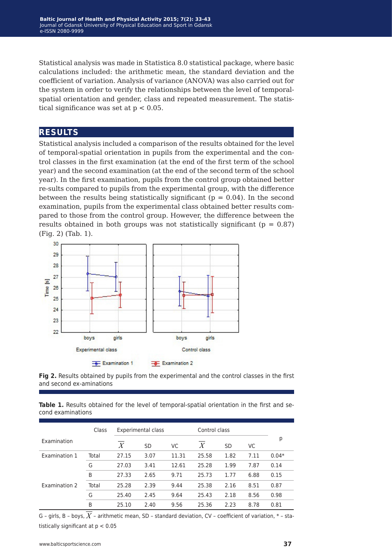Statistical analysis was made in Statistica 8.0 statistical package, where basic calculations included: the arithmetic mean, the standard deviation and the coefficient of variation. Analysis of variance (ANOVA) was also carried out for the system in order to verify the relationships between the level of temporalspatial orientation and gender, class and repeated measurement. The statistical significance was set at  $p < 0.05$ .

### **results**

Statistical analysis included a comparison of the results obtained for the level of temporal-spatial orientation in pupils from the experimental and the control classes in the first examination (at the end of the first term of the school year) and the second examination (at the end of the second term of the school year). In the first examination, pupils from the control group obtained better re-sults compared to pupils from the experimental group, with the difference between the results being statistically significant ( $p = 0.04$ ). In the second examination, pupils from the experimental class obtained better results compared to those from the control group. However, the difference between the results obtained in both groups was not statistically significant ( $p = 0.87$ ) (Fig. 2) (Tab. 1).





**Table 1.** Results obtained for the level of temporal-spatial orientation in the first and second examinations

|               | Class | Experimental class |      |           | Control class    |           |      |         |
|---------------|-------|--------------------|------|-----------|------------------|-----------|------|---------|
| Examination   |       | X                  | SD   | <b>VC</b> | $\boldsymbol{X}$ | <b>SD</b> | VC   | р       |
| Examination 1 | Total | 27.15              | 3.07 | 11.31     | 25.58            | 1.82      | 7.11 | $0.04*$ |
|               | G     | 27.03              | 3.41 | 12.61     | 25.28            | 1.99      | 7.87 | 0.14    |
|               | B     | 27.33              | 2.65 | 9.71      | 25.73            | 1.77      | 6.88 | 0.15    |
| Examination 2 | Total | 25.28              | 2.39 | 9.44      | 25.38            | 2.16      | 8.51 | 0.87    |
|               | G     | 25.40              | 2.45 | 9.64      | 25.43            | 2.18      | 8.56 | 0.98    |
|               | B     | 25.10              | 2.40 | 9.56      | 25.36            | 2.23      | 8.78 | 0.81    |

G - girls, B - boys,  $\overline{X}$  - arithmetic mean, SD - standard deviation, CV - coefficient of variation,  $*$  - statistically significant at  $p < 0.05$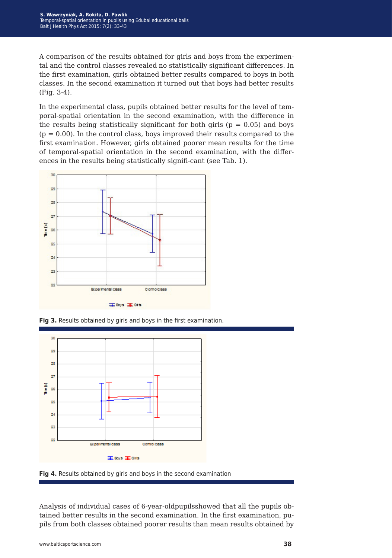A comparison of the results obtained for girls and boys from the experimental and the control classes revealed no statistically significant differences. In the first examination, girls obtained better results compared to boys in both classes. In the second examination it turned out that boys had better results (Fig. 3-4).

In the experimental class, pupils obtained better results for the level of temporal-spatial orientation in the second examination, with the difference in the results being statistically significant for both girls ( $p = 0.05$ ) and boys  $(p = 0.00)$ . In the control class, boys improved their results compared to the first examination. However, girls obtained poorer mean results for the time of temporal-spatial orientation in the second examination, with the differences in the results being statistically signifi-cant (see Tab. 1).



**Fig 3.** Results obtained by girls and boys in the first examination.



**Fig 4.** Results obtained by girls and boys in the second examination

Analysis of individual cases of 6-year-oldpupilsshowed that all the pupils obtained better results in the second examination. In the first examination, pupils from both classes obtained poorer results than mean results obtained by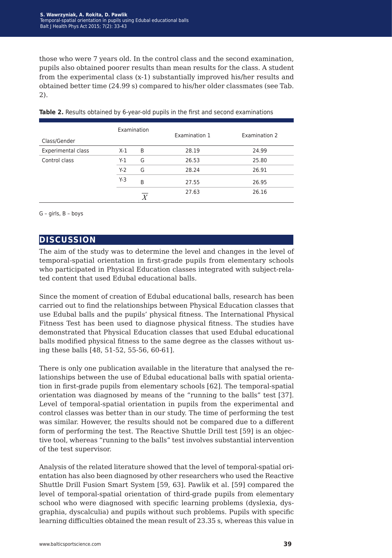those who were 7 years old. In the control class and the second examination, pupils also obtained poorer results than mean results for the class. A student from the experimental class (x-1) substantially improved his/her results and obtained better time (24.99 s) compared to his/her older classmates (see Tab. 2).

| Class/Gender       | Examination |                  | Examination 1 | Examination 2 |  |  |
|--------------------|-------------|------------------|---------------|---------------|--|--|
| Experimental class | $X-1$       | B                | 28.19         | 24.99         |  |  |
| Control class      | $Y-1$       | G                | 26.53         | 25.80         |  |  |
|                    | $Y-2$       | G                | 28.24         | 26.91         |  |  |
|                    | $Y-3$       | B                | 27.55         | 26.95         |  |  |
|                    |             | $\boldsymbol{X}$ | 27.63         | 26.16         |  |  |

**Table 2.** Results obtained by 6-year-old pupils in the first and second examinations

G – girls, B – boys

#### **discussion**

The aim of the study was to determine the level and changes in the level of temporal-spatial orientation in first-grade pupils from elementary schools who participated in Physical Education classes integrated with subject-related content that used Edubal educational balls.

Since the moment of creation of Edubal educational balls, research has been carried out to find the relationships between Physical Education classes that use Edubal balls and the pupils' physical fitness. The International Physical Fitness Test has been used to diagnose physical fitness. The studies have demonstrated that Physical Education classes that used Edubal educational balls modified physical fitness to the same degree as the classes without using these balls [48, 51-52, 55-56, 60-61].

There is only one publication available in the literature that analysed the relationships between the use of Edubal educational balls with spatial orientation in first-grade pupils from elementary schools [62]. The temporal-spatial orientation was diagnosed by means of the "running to the balls" test [37]. Level of temporal-spatial orientation in pupils from the experimental and control classes was better than in our study. The time of performing the test was similar. However, the results should not be compared due to a different form of performing the test. The Reactive Shuttle Drill test [59] is an objective tool, whereas "running to the balls" test involves substantial intervention of the test supervisor.

Analysis of the related literature showed that the level of temporal-spatial orientation has also been diagnosed by other researchers who used the Reactive Shuttle Drill Fusion Smart System [59, 63]. Pawlik et al. [59] compared the level of temporal-spatial orientation of third-grade pupils from elementary school who were diagnosed with specific learning problems (dyslexia, dysgraphia, dyscalculia) and pupils without such problems. Pupils with specific learning difficulties obtained the mean result of 23.35 s, whereas this value in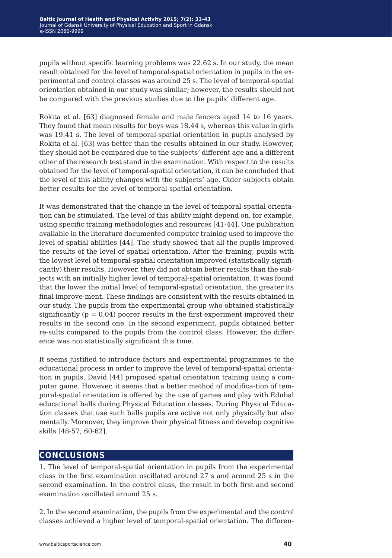pupils without specific learning problems was 22.62 s. In our study, the mean result obtained for the level of temporal-spatial orientation in pupils in the experimental and control classes was around 25 s. The level of temporal-spatial orientation obtained in our study was similar; however, the results should not be compared with the previous studies due to the pupils' different age.

Rokita et al. [63] diagnosed female and male fencers aged 14 to 16 years. They found that mean results for boys was 18.44 s, whereas this value in girls was 19.41 s. The level of temporal-spatial orientation in pupils analysed by Rokita et al. [63] was better than the results obtained in our study. However, they should not be compared due to the subjects' different age and a different other of the research test stand in the examination. With respect to the results obtained for the level of temporal-spatial orientation, it can be concluded that the level of this ability changes with the subjects' age. Older subjects obtain better results for the level of temporal-spatial orientation.

It was demonstrated that the change in the level of temporal-spatial orientation can be stimulated. The level of this ability might depend on, for example, using specific training methodologies and resources [41-44]. One publication available in the literature documented computer training used to improve the level of spatial abilities [44]. The study showed that all the pupils improved the results of the level of spatial orientation. After the training, pupils with the lowest level of temporal-spatial orientation improved (statistically significantly) their results. However, they did not obtain better results than the subjects with an initially higher level of temporal-spatial orientation. It was found that the lower the initial level of temporal-spatial orientation, the greater its final improve-ment. These findings are consistent with the results obtained in our study. The pupils from the experimental group who obtained statistically significantly ( $p = 0.04$ ) poorer results in the first experiment improved their results in the second one. In the second experiment, pupils obtained better re-sults compared to the pupils from the control class. However, the difference was not statistically significant this time.

It seems justified to introduce factors and experimental programmes to the educational process in order to improve the level of temporal-spatial orientation in pupils. David [44] proposed spatial orientation training using a computer game. However, it seems that a better method of modifica-tion of temporal-spatial orientation is offered by the use of games and play with Edubal educational balls during Physical Education classes. During Physical Education classes that use such balls pupils are active not only physically but also mentally. Moreover, they improve their physical fitness and develop cognitive skills [48-57, 60-62].

### **conclusions**

1. The level of temporal-spatial orientation in pupils from the experimental class in the first examination oscillated around 27 s and around 25 s in the second examination. In the control class, the result in both first and second examination oscillated around 25 s.

2. In the second examination, the pupils from the experimental and the control classes achieved a higher level of temporal-spatial orientation. The differen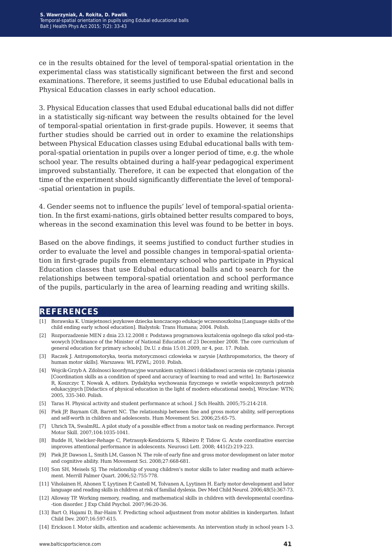ce in the results obtained for the level of temporal-spatial orientation in the experimental class was statistically significant between the first and second examinations. Therefore, it seems justified to use Edubal educational balls in Physical Education classes in early school education.

3. Physical Education classes that used Edubal educational balls did not differ in a statistically sig-nificant way between the results obtained for the level of temporal-spatial orientation in first-grade pupils. However, it seems that further studies should be carried out in order to examine the relationships between Physical Education classes using Edubal educational balls with temporal-spatial orientation in pupils over a longer period of time, e.g. the whole school year. The results obtained during a half-year pedagogical experiment improved substantially. Therefore, it can be expected that elongation of the time of the experiment should significantly differentiate the level of temporal- -spatial orientation in pupils.

4. Gender seems not to influence the pupils' level of temporal-spatial orientation. In the first exami-nations, girls obtained better results compared to boys, whereas in the second examination this level was found to be better in boys.

Based on the above findings, it seems justified to conduct further studies in order to evaluate the level and possible changes in temporal-spatial orientation in first-grade pupils from elementary school who participate in Physical Education classes that use Edubal educational balls and to search for the relationships between temporal-spatial orientation and school performance of the pupils, particularly in the area of learning reading and writing skills.

#### **references**

- [1] Borawska K. Umiejetnosci jezykowe dziecka konczacego edukacje wczesnoszkolna [Language skills of the child ending early school education]. Bialystok: Trans Humana; 2004. Polish.
- [2] Rozporzadzenie MEN z dnia 23.12.2008 r. Podstawa programowa ksztalcenia ogolnego dla szkol pod-stawowych [Ordinance of the Minister of National Education of 23 December 2008. The core curriculum of general education for primary schools]. Dz.U. z dnia 15.01.2009, nr 4, poz. 17. Polish.
- [3] Raczek J. Antropomotoryka, teoria motorycznosci czlowieka w zarysie [Anthropomotorics, the theory of human motor skills]. Warszawa: WL PZWL; 2010. Polish.
- [4] Wojcik-Grzyb A. Zdolnosci koordynacyjne warunkiem szybkosci i dokladnosci uczenia sie czytania i pisania [Coordination skills as a condition of speed and accuracy of learning to read and write]. In: Bartoszewicz R, Koszczyc T, Nowak A, editors. Dydaktyka wychowania fizycznego w swietle wspolczesnych potrzeb edukacyjnych [Didactics of physical education in the light of modern educational needs], Wroclaw: WTN; 2005, 335-340. Polish.
- [5] Taras H. Physical activity and student performance at school. J Sch Health. 2005;75:214-218.
- [6] Piek JP, Baynam GB, Barrett NC. The relationship between fine and gross motor ability, self-perceptions and self-worth in children and adolescents. Hum Movement Sci. 2006;25:65-75.
- [7] Uhrich TA, SwalmRL. A pilot study of a possible effect from a motor task on reading performance. Percept Motor Skill. 2007;104:1035-1041.
- [8] Budde H, Voelcker-Rehage C, Pietrassyk-Kendziorra S, Ribeiro P, Tidow G. Acute coordinative exercise improves attentional performance in adolescents. Neurosci Lett. 2008; 441(2):219-223.
- [9] Piek JP, Dawson L, Smith LM, Gasson N. The role of early fine and gross motor development on later motor and cognitive ability. Hum Movement Sci. 2008;27:668-681.
- [10] Son SH, Meisels SJ. The relationship of young children's motor skills to later reading and math achievement. Merrill Palmer Quart. 2006;52:755-778.
- [11] Viholainen H, Ahonen T, Lyytinen P, Cantell M, Tolvanen A, Lyytinen H. Early motor development and later language and reading skills in children at risk of familial dyslexia. Dev Med Child Neurol. 2006;48(5):367-73.
- [12] Alloway TP. Working memory, reading, and mathematical skills in children with developmental coordina- -tion disorder. J Exp Child Psychol. 2007;96:20-36.
- [13] Bart O, Hajami D, Bar-Haim Y. Predicting school adjustment from motor abilities in kindergarten. Infant Child Dev. 2007;16:597-615.
- [14] Erickson I. Motor skills, attention and academic achievements. An intervention study in school years 1-3.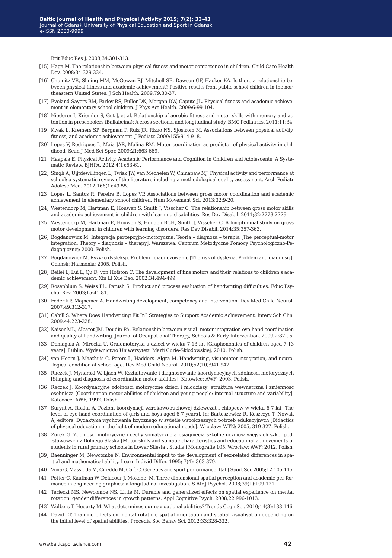Brit Educ Res J. 2008;34:301-313.

- [15] Haga M. The relationship between physical fitness and motor competence in children. Child Care Health Dev. 2008;34:329-334.
- [16] Chomitz VR, Slining MM, McGowan RJ, Mitchell SE, Dawson GF, Hacker KA. Is there a relationship between physical fitness and academic achievement? Positive results from public school children in the northeastern United States. J Sch Health. 2009;79:30-37.
- [17] Eveland-Sayers BM, Farley RS, Fuller DK, Morgan DW, Caputo JL. Physical fitness and academic achievement in elementary school children. J Phys Act Health. 2009;6:99-104.
- [18] Niederer I, Kriemler S, Gut J, et al. Relationship of aerobic fitness and motor skills with memory and attention in preschoolers (Ballabeina): A cross-sectional and longitudinal study. BMC Pediatrics. 2011;11:34.
- [19] Kwak L, Kremers SP, Bergman P, Ruiz JR, Rizzo NS, Sjostrom M. Associations between physical activity, fitness, and academic achievement. J Pediatr. 2009;155:914-918.
- [20] Lopes V, Rodrigues L, Maia JAR, Malina RM. Motor coordination as predictor of physical activity in childhood. Scan J Med Sci Spor. 2009;21:663-669.
- [21] Haapala E. Physical Activity, Academic Performance and Cognition in Children and Adolescents. A Systematic Review. BJHPA. 2012;4(1):53-61.
- [22] Singh A, Uijtdewillingen L, Twisk JW, van Mechelen W, Chinapaw MJ. Physical activity and performance at school: a systematic review of the literature including a methodological quality assessment. Arch Pediatr Adolesc Med. 2012;166(1):49-55.
- [23] Lopes L, Santos R, Pereira B, Lopes VP. Associations between gross motor coordination and academic achievement in elementary school children. Hum Movement Sci. 2013;32:9-20.
- [24] Westendorp M, Hartman E, Houwen S, Smith J, Visscher C. The relationship between gross motor skills and academic achievement in children with learning disabilities. Res Dev Disabil. 2011;32:2773-2779.
- [25] Westendorp M, Hartman E, Houwen S, Huijgen BCH, Smith J, Visscher C. A longitudinal study on gross motor development in children with learning disorders. Res Dev Disabil. 2014;35:357-363.
- [26] Bogdanowicz M. Integracja percepcyjno-motoryczna. Teoria diagnoza terapia [The perceptual-motor integration. Theory – diagnosis – therapy]. Warszawa: Centrum Metodyczne Pomocy Psychologiczno-Pedagogicznej; 2000. Polish.
- [27] Bogdanowicz M. Ryzyko dysleksji. Problem i diagnozowanie [The risk of dyslexia. Problem and diagnosis]. Gdansk: Harmonia; 2005. Polish.
- [28] Beilei L, Lui L, Qu D, von Hofston C. The development of fine motors and their relations to children's academic achievement. Xin Li Xue Bao. 2002;34:494-499.
- [29] Rosenblum S, Weiss PL, Parush S. Product and process evaluation of handwriting difficulties. Educ Psychol Rev. 2003;15:41-81.
- [30] Feder KP, Majnemer A. Handwriting development, competency and intervention. Dev Med Child Neurol. 2007;49:312-317.
- [31] Cahill S. Where Does Handwriting Fit In? Strategies to Support Academic Achievement. Interv Sch Clin. 2009;44:223-228.
- [32] Kaiser ML, Albaret JM, Doudin PA. Relationship between visual- motor integration eye-hand coordination and quality of handwriting. Journal of Occupational Therapy, Schools & Early Intervention. 2009;2:87-95.
- [33] Domagala A, Mirecka U. Grafomotoryka u dzieci w wieku 7-13 lat [Graphonomics of children aged 7-13 years]. Lublin: Wydawnictwo Uniwersytetu Marii Curie-Sklodowskiej; 2010. Polish.
- [34] van Hoorn J, Maathuis C, Peters L, Hadders- Algra M. Handwriting, visuomotor integration, and neuro- -logical condition at school age. Dev Med Child Neurol. 2010;52(10):941-947.
- [35] Raczek J, Mynarski W, Ljach W. Ksztaltowanie i diagnozowanie koordynacyjnych zdolnosci motorycznych [Shaping and diagnosis of coordination motor abilities]. Katowice: AWF; 2003. Polish.
- [36] Raczek J, Koordynacyjne zdolnosci motoryczne dzieci i mlodziezy: struktura wewnetrzna i zmiennosc osobnicza [Coordination motor abilities of children and young people: internal structure and variability]. Katowice: AWF; 1992. Polish.
- [37] Surynt A, Rokita A. Poziom koordynacji wzrokowo-ruchowej dziewczat i chlopcow w wieku 6-7 lat [The level of eye-hand coordination of girls and boys aged 6-7 years]. In: Bartoszewicz R, Koszczyc T, Nowak A, editors. Dydaktyka wychowania fizycznego w swietle wspolczesnych potrzeb edukacyjnych [Didactics of physical education in the light of modern educational needs]. Wroclaw: WTN: 2005, 319-327. Polish.
- [38] Zurek G. Zdolnosci motoryczne i cechy somatyczne a osiagniecia szkolne uczniow wiejskich szkol pod- -stawowych z Dolnego Slaska [Motor skills and somatic characteristics and educational achievements of students in rural primary schools in Lower Silesia]. Studia i Monografie 105. Wroclaw: AWF; 2012. Polish.
- [39] Baenninger M, Newcombe N. Environmental input to the development of sex-related differences in spa- -tial and mathematical ability. Learn Individ Differ. 1995; 7(4): 363-379.
- [40] Vona G, Massidda M, Cireddu M, Calò C. Genetics and sport performance. Ital J Sport Sci. 2005;12:105-115.
- [41] Potter C, Kaufman W, Delacour J, Mokone, M. Three dimensional spatial perception and academic per-formance in engineering graphics: a longitudinal investigation. S Afr J Psychol. 2008;39(1):109-121.
- [42] Terlecki MS, Newcombe NS, Little M. Durable and generalized effects on spatial experience on mental rotation: gender differences in growth patterns. Appl Cognitive Psych. 2008;22:996-1013.
- [43] Wolbers T, Hegarty M. What determines our navigational abilities? Trends Cogn Sci. 2010;14(3):138-146.
- [44] David LT. Training effects on mental rotation, spatial orientation and spatial visualisation depending on the initial level of spatial abilities. Procedia Soc Behav Sci. 2012;33:328-332.